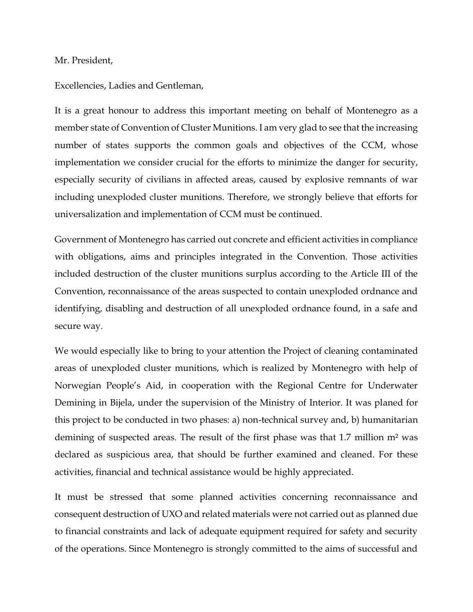## Mr. President,

Excellencies, Ladies and Gentleman,

It is a great honour to address this important meeting on behalf of Montenegro as a member state of Convention of Cluster Munitions. I am very glad to see that the increasing number of states supports the common goals and objectives of the CCM, whose implementation we consider crucial for the efforts to minimize the danger for security, especially security of civilians in affected areas, caused by explosive remnants of war including unexploded cluster munitions. Therefore, we strongly believe that efforts for universalization and implementation of CCM must be continued.

Government of Montenegro has carried out concrete and efficient activities in compliance with obligations, aims and principles integrated in the Convention. Those activities included destruction of the cluster munitions surplus according to the Article III of the Convention, reconnaissance of the areas suspected to contain unexploded ordnance and identifying, disabling and destruction of all unexploded ordnance found, in a safe and secure way.

We would especially like to bring to your attention the Project of cleaning contaminated areas of unexploded cluster munitions, which is realized by Montenegro with help of Norwegian People's Aid, in cooperation with the Regional Centre for Underwater Demining in Bijela, under the supervision of the Ministry of Interior. It was planed for this project to be conducted in two phases: a) non-technical survey and, b) humanitarian demining of suspected areas. The result of the first phase was that 1.7 million m<sup>2</sup> was declared as suspicious area, that should be further examined and cleaned. For these activities, financial and technical assistance would be highly appreciated.

It must be stressed that some planned activities concerning reconnaissance and consequent destruction of UXO and related materials were not carried out as planned due to financial constraints and lack of adequate equipment required for safety and security of the operations. Since Montenegro is strongly committed to the aims of successful and